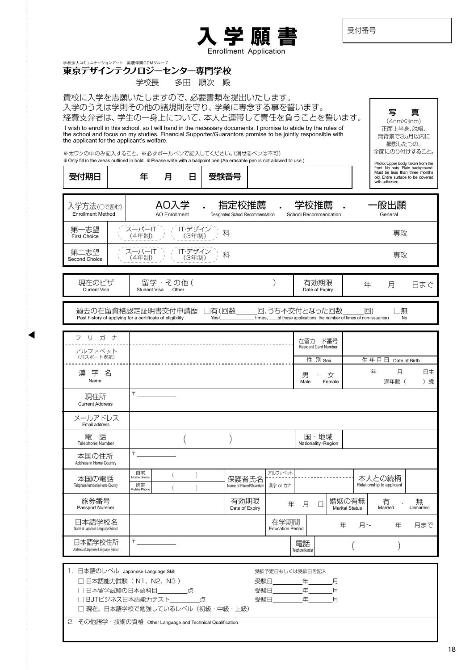受付番号

写 真 (4cm×3cm) 正面上半身、脱帽、 無背景で3ヵ月以内に 撮影したもの。 全面にのり付けすること。



<sub>学校法人コミュニケーションアート 滋慶学園COMグループ<br>**東京デザインテクノロジーセンター専門学校**</sub>

学校長 多田 順次 殿

貴校に入学を志願いたしますので、必要書類を提出いたします。

入学のうえは学則その他の諸規則を守り、学業に専念する事を誓います。

経費支弁者は、学生の一身上について、本人と連帯して責任を負うことを誓います。 I wish to enroll in this school, so I will hand in the necessary documents. I promise to abide by the rules of the school and focus on my studies. Financial Supporter/Guarantors promise to be jointly responsible with the applicant for the applicant's welfare.

※太ワクの中のみ記入すること。 ※必ずボールペンで記入してください。(消せるペンは不可)

| « Only fill in the areas outlined in bold. « Please write with a ballpoint pen. (An erasable pen is not allowed to use.)<br>受付期日              |                   | 年                                      | 月                            | Β                |                 | 受験番号                                      |                                                                                          |                               |                                 |                                |        | with adhesive.                      |         | Photo: Upper body, taken from the<br>front. No hats. Plain background.<br>Must be less than three months<br>old. Entire surface to be covered |
|-----------------------------------------------------------------------------------------------------------------------------------------------|-------------------|----------------------------------------|------------------------------|------------------|-----------------|-------------------------------------------|------------------------------------------------------------------------------------------|-------------------------------|---------------------------------|--------------------------------|--------|-------------------------------------|---------|-----------------------------------------------------------------------------------------------------------------------------------------------|
| 入学方法(○で囲む)<br><b>Enrollment Method</b>                                                                                                        |                   |                                        | AO入学<br><b>AO Enrollment</b> |                  |                 | 指定校推薦<br>Designated School Recommendation | $\bullet$                                                                                | 学校推薦<br>School Recommendation |                                 |                                |        | 般出願<br>General                      |         |                                                                                                                                               |
| 第一志望<br><b>First Choice</b>                                                                                                                   |                   | スーパーIT<br>(4年制)                        |                              | IT·デザイン<br>(3年制) |                 | 科                                         |                                                                                          |                               |                                 |                                |        |                                     | 専攻      |                                                                                                                                               |
| 第二志望<br>Second Choice                                                                                                                         |                   | スーパーIT<br>(4年制)                        |                              | IT·デザイン<br>(3年制) |                 | 科                                         |                                                                                          |                               |                                 |                                |        |                                     | 専攻      |                                                                                                                                               |
| 現在のビザ<br><b>Current Visa</b>                                                                                                                  |                   | Student Visa                           | 留学・その他(                      | Other            |                 |                                           |                                                                                          |                               | 有効期限<br>Date of Expiry          |                                | 年      | 月                                   |         | 日まで                                                                                                                                           |
| 過去の在留資格認定証明書交付申請歴<br>Past history of applying for a certificate of eligibility                                                                |                   |                                        |                              |                  | ]有(回数_<br>Yes ( |                                           | 回、うち不交付となった回数<br>times, ____ of these applications, the number of times of non-issuance) |                               |                                 |                                | $\Box$ |                                     | 無<br>No |                                                                                                                                               |
| リガナ<br>フ                                                                                                                                      |                   |                                        |                              |                  |                 |                                           |                                                                                          |                               |                                 |                                |        |                                     |         |                                                                                                                                               |
| アルファベット                                                                                                                                       |                   |                                        |                              |                  |                 |                                           |                                                                                          |                               | 在留カード番号<br>Resident Card Number |                                |        |                                     |         |                                                                                                                                               |
| (パスポート表記)                                                                                                                                     |                   |                                        |                              |                  |                 |                                           |                                                                                          |                               | 性 別 Sex                         |                                |        | 生年月日                                |         | Date of Birth                                                                                                                                 |
| 漢字名<br>Name                                                                                                                                   |                   |                                        |                              |                  |                 |                                           |                                                                                          | 男<br>Male                     |                                 | 女<br>Female                    |        | 年<br>満年齢 (                          | 月       | 日生<br>) 歳                                                                                                                                     |
| 現住所<br><b>Current Address</b>                                                                                                                 |                   | $\overline{\top}$                      |                              |                  |                 |                                           |                                                                                          |                               |                                 |                                |        |                                     |         |                                                                                                                                               |
| メールアドレス<br>Email address                                                                                                                      |                   |                                        |                              |                  |                 |                                           |                                                                                          |                               |                                 |                                |        |                                     |         |                                                                                                                                               |
| 軍<br>詁<br>Telephone Number                                                                                                                    |                   |                                        |                              |                  |                 |                                           |                                                                                          |                               | 国・地域<br>Nationality · Region    |                                |        |                                     |         |                                                                                                                                               |
| 本国の住所<br>Address in Home Country                                                                                                              |                   | Ŧ.                                     |                              |                  |                 |                                           |                                                                                          |                               |                                 |                                |        |                                     |         |                                                                                                                                               |
| 本国の電話<br>Telephone Number in Home Country                                                                                                     |                   | 自宅<br>Home phone<br>携帯<br>Mobile Phone |                              | $\lambda$        |                 | 保護者氏名<br>Name of Parent/Guardian          | アルファベット<br>漢字 or カナ                                                                      |                               |                                 |                                |        | 本人との続柄<br>Relationship to applicant |         |                                                                                                                                               |
| 旅券番号<br>Passport Number                                                                                                                       |                   |                                        |                              |                  |                 | 有効期限<br>Date of Expiry                    | 年                                                                                        | 月                             | Ε                               | 婚姻の有無<br><b>Marital Status</b> |        | 甪<br>Married                        |         | 無<br>Unmarried                                                                                                                                |
| 日本語学校名<br>Name of Japanese Language School                                                                                                    |                   |                                        |                              |                  |                 |                                           | 在学期間<br><b>Education Period</b>                                                          |                               |                                 | 年                              | 月~     |                                     | 年       | 月まで                                                                                                                                           |
| 日本語学校住所<br>Address of Japanese Language School                                                                                                |                   | $\bar{\tau}$                           |                              |                  |                 |                                           |                                                                                          | 電話<br>Telephone Number        |                                 |                                |        |                                     |         |                                                                                                                                               |
| 1. 日本語のレベル Japanese Language Skill<br>□ 日本語能力試験 (N1、N2、N3)<br>□ 日本留学試験の日本語科目 有点<br>□ BJTビジネス日本語能力テスト_____点<br>□ 現在、日本語学校で勉強しているレベル (初級・中級・上級) | <b>CONTRACTOR</b> |                                        |                              |                  |                 |                                           | 受験予定日もしくは受験日を記入<br>受験日<br>受験日                                                            |                               | 年 月<br>年                        | 月                              |        |                                     |         |                                                                                                                                               |

2.その他語学・技術の資格 Other Language and Technical Qualification